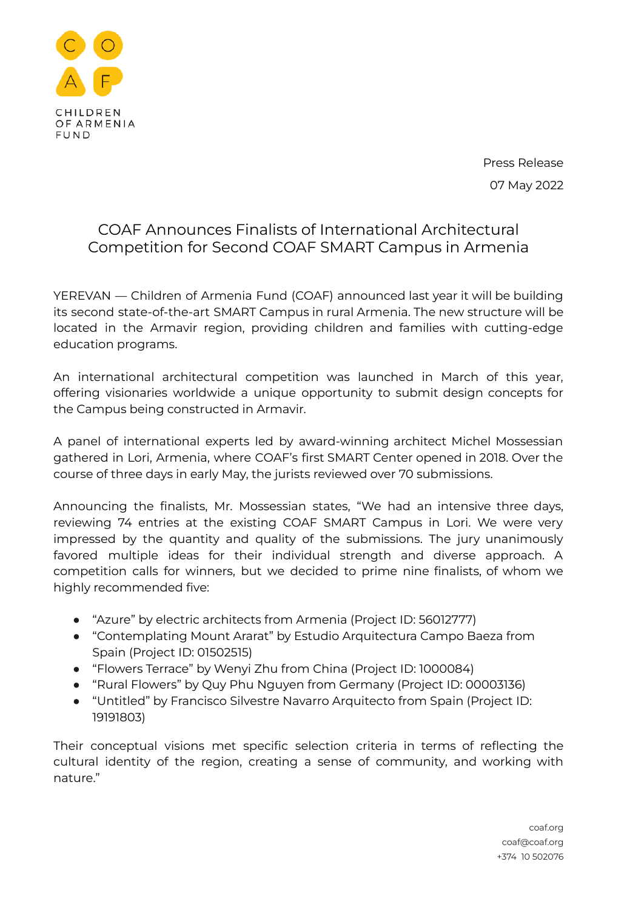

Press Release 07 May 2022

## COAF Announces Finalists of International Architectural Competition for Second COAF SMART Campus in Armenia

YEREVAN — Children of Armenia Fund (COAF) announced last year it will be building its second state-of-the-art SMART Campus in rural Armenia. The new structure will be located in the Armavir region, providing children and families with cutting-edge education programs.

An international architectural competition was launched in March of this year, offering visionaries worldwide a unique opportunity to submit design concepts for the Campus being constructed in Armavir.

A panel of international experts led by award-winning architect Michel Mossessian gathered in Lori, Armenia, where COAF's first SMART Center opened in 2018. Over the course of three days in early May, the jurists reviewed over 70 submissions.

Announcing the finalists, Mr. Mossessian states, "We had an intensive three days, reviewing 74 entries at the existing COAF SMART Campus in Lori. We were very impressed by the quantity and quality of the submissions. The jury unanimously favored multiple ideas for their individual strength and diverse approach. A competition calls for winners, but we decided to prime nine finalists, of whom we highly recommended five:

- "Azure" by electric architects from Armenia (Project ID: 56012777)
- "Contemplating Mount Ararat" by Estudio Arquitectura Campo Baeza from Spain (Project ID: 01502515)
- "Flowers Terrace" by Wenyi Zhu from China (Project ID: 1000084)
- "Rural Flowers" by Quy Phu Nguyen from Germany (Project ID: 00003136)
- "Untitled" by Francisco Silvestre Navarro Arquitecto from Spain (Project ID: 19191803)

Their conceptual visions met specific selection criteria in terms of reflecting the cultural identity of the region, creating a sense of community, and working with nature."